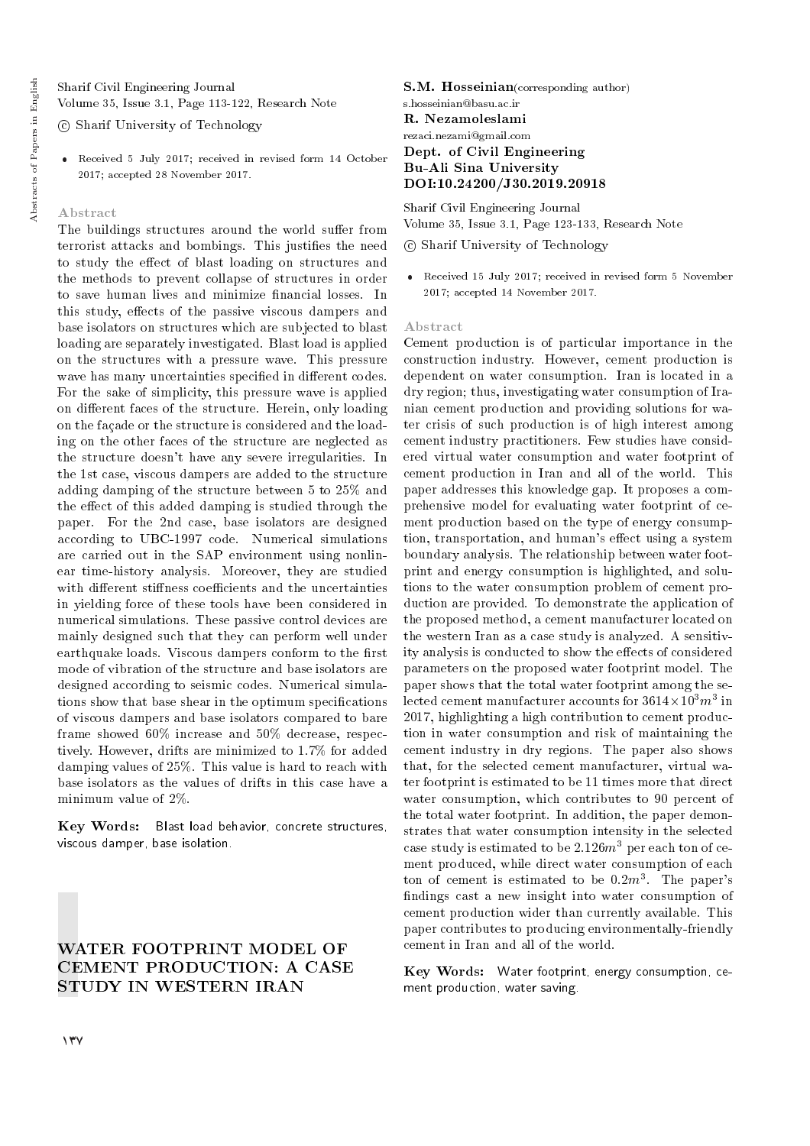Sharif Civil Engineering Journal Volume 35, Issue 3.1, Page 113-122, Research Note

c Sharif University of Technology

 Received 5 July 2017; received in revised form 14 October 2017; accepted 28 November 2017.

#### Abstract

The buildings structures around the world suffer from terrorist attacks and bombings. This justifies the need to study the effect of blast loading on structures and the methods to prevent collapse of structures in order to save human lives and minimize financial losses. In this study, effects of the passive viscous dampers and base isolators on structures which are subjected to blast loading are separately investigated. Blast load is applied on the structures with a pressure wave. This pressure wave has many uncertainties specified in different codes. For the sake of simplicity, this pressure wave is applied on different faces of the structure. Herein, only loading on the facade or the structure is considered and the loading on the other faces of the structure are neglected as the structure doesn't have any severe irregularities. In the 1st case, viscous dampers are added to the structure adding damping of the structure between 5 to 25% and the effect of this added damping is studied through the paper. For the 2nd case, base isolators are designed according to UBC-1997 code. Numerical simulations are carried out in the SAP environment using nonlinear time-history analysis. Moreover, they are studied with different stiffness coefficients and the uncertainties in yielding force of these tools have been considered in numerical simulations. These passive control devices are mainly designed such that they can perform well under earthquake loads. Viscous dampers conform to the first mode of vibration of the structure and base isolators are designed according to seismic codes. Numerical simulations show that base shear in the optimum specications of viscous dampers and base isolators compared to bare frame showed 60% increase and 50% decrease, respectively. However, drifts are minimized to 1.7% for added damping values of 25%. This value is hard to reach with base isolators as the values of drifts in this case have a minimum value of 2%.

Key Words: Blast load behavior, concrete structures, viscous damper, base isolation.

# WATER FOOTPRINT MODEL OF CEMENT PRODUCTION: A CASE STUDY IN WESTERN IRAN

S.M. Hosseinian(corresponding author) s.hosseinian@basu.ac.ir

#### R. Nezamoleslami

#### rezaci.nezami@gmail.com Dept. of Civil Engineering Bu-Ali Sina University DOI:10.24200/J30.2019.20918

Sharif Civil Engineering Journal Volume 35, Issue 3.1, Page 123-133, Research Note

#### c Sharif University of Technology

 Received 15 July 2017; received in revised form 5 November 2017; accepted 14 November 2017.

#### Abstract

Cement production is of particular importance in the construction industry. However, cement production is dependent on water consumption. Iran is located in a dry region; thus, investigating water consumption of Iranian cement production and providing solutions for water crisis of such production is of high interest among cement industry practitioners. Few studies have considered virtual water consumption and water footprint of cement production in Iran and all of the world. This paper addresses this knowledge gap. It proposes a comprehensive model for evaluating water footprint of cement production based on the type of energy consumption, transportation, and human's effect using a system boundary analysis. The relationship between water footprint and energy consumption is highlighted, and solutions to the water consumption problem of cement production are provided. To demonstrate the application of the proposed method, a cement manufacturer located on the western Iran as a case study is analyzed. A sensitivity analysis is conducted to show the effects of considered parameters on the proposed water footprint model. The paper shows that the total water footprint among the selected cement manufacturer accounts for  $3614 \times 10^3 m^3$  in 2017, highlighting a high contribution to cement production in water consumption and risk of maintaining the cement industry in dry regions. The paper also shows that, for the selected cement manufacturer, virtual water footprint is estimated to be 11 times more that direct water consumption, which contributes to 90 percent of the total water footprint. In addition, the paper demonstrates that water consumption intensity in the selected case study is estimated to be  $2.126m^3$  per each ton of cement produced, while direct water consumption of each ton of cement is estimated to be  $0.2m^3$ . The paper's ndings cast a new insight into water consumption of cement production wider than currently available. This paper contributes to producing environmentally-friendly cement in Iran and all of the world.

Key Words: Water footprint, energy consumption, cement production, water saving.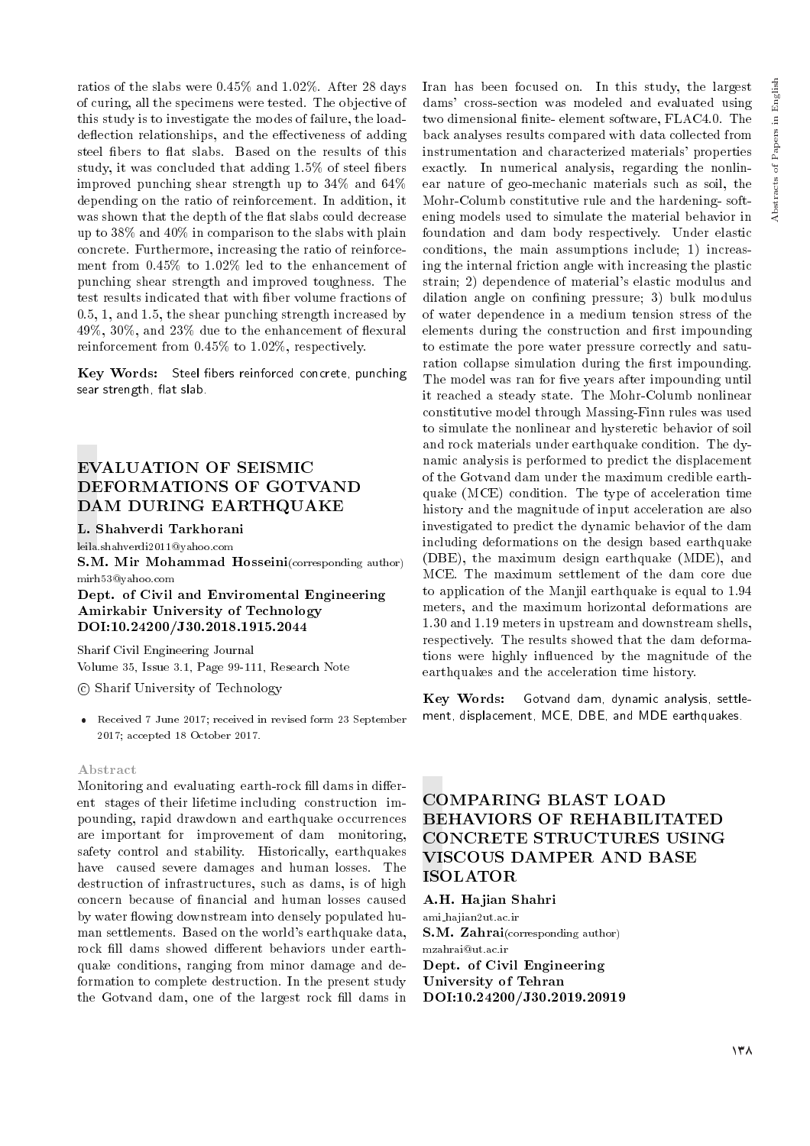Abstracts of Papers in English

Abstracts of Papers in English

ratios of the slabs were 0.45% and 1.02%. After 28 days of curing, all the specimens were tested. The objective of this study is to investigate the modes of failure, the loaddeflection relationships, and the effectiveness of adding steel fibers to flat slabs. Based on the results of this study, it was concluded that adding 1.5% of steel fibers improved punching shear strength up to 34% and 64% depending on the ratio of reinforcement. In addition, it was shown that the depth of the flat slabs could decrease up to 38% and 40% in comparison to the slabs with plain concrete. Furthermore, increasing the ratio of reinforcement from 0.45% to 1.02% led to the enhancement of punching shear strength and improved toughness. The test results indicated that with ber volume fractions of 0.5, 1, and 1.5, the shear punching strength increased by  $49\%, 30\%, \text{ and } 23\%$  due to the enhancement of flexural reinforcement from 0.45% to 1.02%, respectively.

Key Words: Steel fibers reinforced concrete, punching sear strength, flat slab.

# EVALUATION OF SEISMIC DEFORMATIONS OF GOTVAND DAM DURING EARTHQUAKE

L. Shahverdi Tarkhorani

leila.shahverdi2011@yahoo.com S.M. Mir Mohammad Hosseini(corresponding author) mirh53@yahoo.com

Dept. of Civil and Enviromental Engineering Amirkabir University of Technology DOI:10.24200/J30.2018.1915.2044

Sharif Civil Engineering Journal Volume 35, Issue 3.1, Page 99-111, Research Note

c Sharif University of Technology

 Received 7 June 2017; received in revised form 23 September 2017; accepted 18 October 2017.

#### Abstract

Monitoring and evaluating earth-rock fill dams in different stages of their lifetime including construction impounding, rapid drawdown and earthquake occurrences are important for improvement of dam monitoring, safety control and stability. Historically, earthquakes have caused severe damages and human losses. The destruction of infrastructures, such as dams, is of high concern because of nancial and human losses caused by water flowing downstream into densely populated human settlements. Based on the world's earthquake data, rock fill dams showed different behaviors under earthquake conditions, ranging from minor damage and deformation to complete destruction. In the present study the Gotvand dam, one of the largest rock fill dams in

Iran has been focused on. In this study, the largest dams' cross-section was modeled and evaluated using two dimensional finite-element software, FLAC4.0. The back analyses results compared with data collected from instrumentation and characterized materials' properties exactly. In numerical analysis, regarding the nonlinear nature of geo-mechanic materials such as soil, the Mohr-Columb constitutive rule and the hardening- softening models used to simulate the material behavior in foundation and dam body respectively. Under elastic conditions, the main assumptions include; 1) increasing the internal friction angle with increasing the plastic strain; 2) dependence of material's elastic modulus and dilation angle on confining pressure; 3) bulk modulus of water dependence in a medium tension stress of the elements during the construction and first impounding to estimate the pore water pressure correctly and saturation collapse simulation during the first impounding. The model was ran for five years after impounding until it reached a steady state. The Mohr-Columb nonlinear constitutive model through Massing-Finn rules was used to simulate the nonlinear and hysteretic behavior of soil and rock materials under earthquake condition. The dynamic analysis is performed to predict the displacement of the Gotvand dam under the maximum credible earthquake (MCE) condition. The type of acceleration time history and the magnitude of input acceleration are also investigated to predict the dynamic behavior of the dam including deformations on the design based earthquake (DBE), the maximum design earthquake (MDE), and MCE. The maximum settlement of the dam core due to application of the Manjil earthquake is equal to 1.94 meters, and the maximum horizontal deformations are 1.30 and 1.19 meters in upstream and downstream shells, respectively. The results showed that the dam deformations were highly influenced by the magnitude of the earthquakes and the acceleration time history.

Key Words: Gotvand dam, dynamic analysis, settlement, displacement, MCE, DBE, and MDE earthquakes.

# COMPARING BLAST LOAD BEHAVIORS OF REHABILITATED CONCRETE STRUCTURES USING VISCOUS DAMPER AND BASE ISOLATOR

#### A.H. Hajian Shahri

ami hajian2ut.ac.ir S.M. Zahrai(corresponding author) mzahrai@ut.ac.ir Dept. of Civil Engineering University of Tehran DOI:10.24200/J30.2019.20919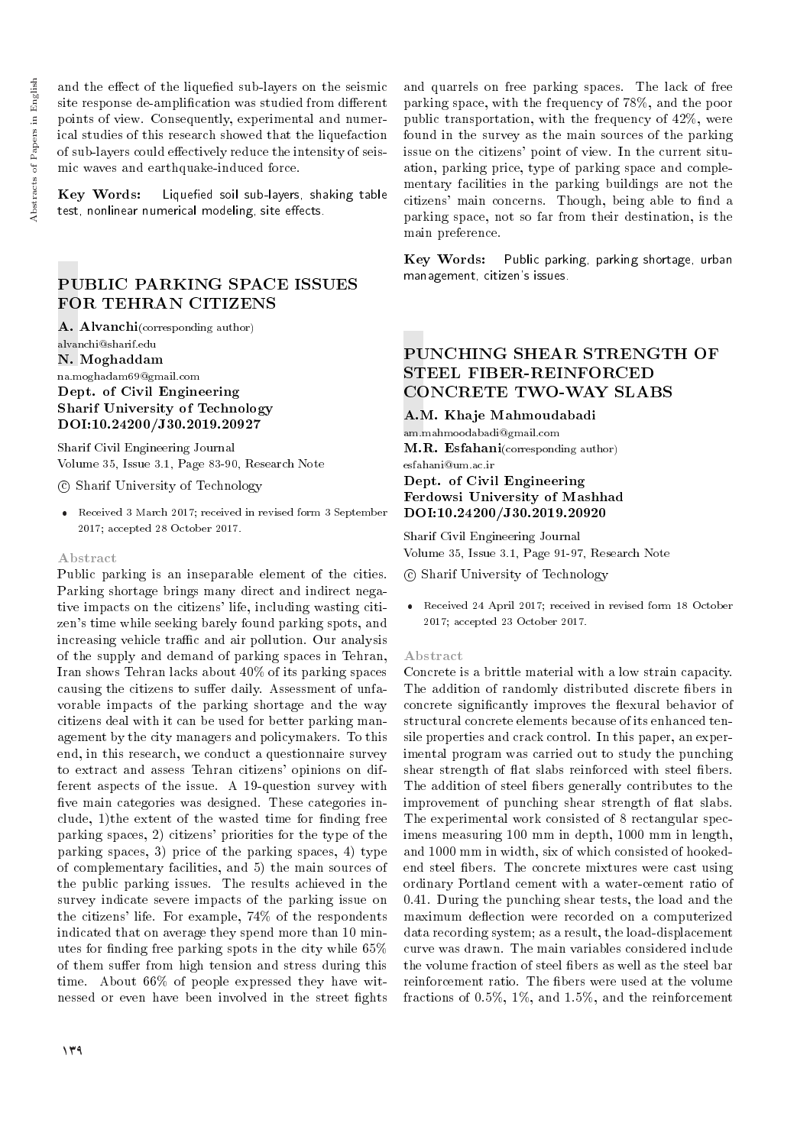and the effect of the liquefied sub-layers on the seismic site response de-amplification was studied from different points of view. Consequently, experimental and numerical studies of this research showed that the liquefaction of sub-layers could effectively reduce the intensity of seismic waves and earthquake-induced force.

 $Key$  Words: Liquefied soil sub-layers, shaking table test, nonlinear numerical modeling, site effects.

# PUBLIC PARKING SPACE ISSUES FOR TEHRAN CITIZENS

A. Alvanchi(corresponding author) alvanchi@sharif.edu

N. Moghaddam

#### na.moghadam69@gmail.com Dept. of Civil Engineering Sharif University of Technology DOI:10.24200/J30.2019.20927

Sharif Civil Engineering Journal Volume 35, Issue 3.1, Page 83-90, Research Note

## c Sharif University of Technology

 Received 3 March 2017; received in revised form 3 September 2017; accepted 28 October 2017.

#### Abstract

Public parking is an inseparable element of the cities. Parking shortage brings many direct and indirect negative impacts on the citizens' life, including wasting citizen's time while seeking barely found parking spots, and increasing vehicle traffic and air pollution. Our analysis of the supply and demand of parking spaces in Tehran, Iran shows Tehran lacks about 40% of its parking spaces causing the citizens to suffer daily. Assessment of unfavorable impacts of the parking shortage and the way citizens deal with it can be used for better parking management by the city managers and policymakers. To this end, in this research, we conduct a questionnaire survey to extract and assess Tehran citizens' opinions on different aspects of the issue. A 19-question survey with five main categories was designed. These categories include,  $1$ )the extent of the wasted time for finding free parking spaces, 2) citizens' priorities for the type of the parking spaces, 3) price of the parking spaces, 4) type of complementary facilities, and 5) the main sources of the public parking issues. The results achieved in the survey indicate severe impacts of the parking issue on the citizens' life. For example, 74% of the respondents indicated that on average they spend more than 10 minutes for nding free parking spots in the city while 65% of them suffer from high tension and stress during this time. About 66% of people expressed they have witnessed or even have been involved in the street fights

and quarrels on free parking spaces. The lack of free parking space, with the frequency of 78%, and the poor public transportation, with the frequency of 42%, were found in the survey as the main sources of the parking issue on the citizens' point of view. In the current situation, parking price, type of parking space and complementary facilities in the parking buildings are not the citizens' main concerns. Though, being able to find a parking space, not so far from their destination, is the main preference.

Key Words: Public parking, parking shortage, urban management, citizen's issues.

# PUNCHING SHEAR STRENGTH OF STEEL FIBER-REINFORCED CONCRETE TWO-WAY SLABS

A.M. Khaje Mahmoudabadi

am.mahmoodabadi@gmail.com M.R. Esfahani(corresponding author) esfahani@um.ac.ir

## Dept. of Civil Engineering Ferdowsi University of Mashhad DOI:10.24200/J30.2019.20920

Sharif Civil Engineering Journal Volume 35, Issue 3.1, Page 91-97, Research Note

c Sharif University of Technology

 Received 24 April 2017; received in revised form 18 October 2017; accepted 23 October 2017.

## Abstract

Concrete is a brittle material with a low strain capacity. The addition of randomly distributed discrete bers in concrete significantly improves the flexural behavior of structural concrete elements because of its enhanced tensile properties and crack control. In this paper, an experimental program was carried out to study the punching shear strength of flat slabs reinforced with steel fibers. The addition of steel bers generally contributes to the improvement of punching shear strength of flat slabs. The experimental work consisted of 8 rectangular specimens measuring 100 mm in depth, 1000 mm in length, and 1000 mm in width, six of which consisted of hookedend steel bers. The concrete mixtures were cast using ordinary Portland cement with a water-cement ratio of 0.41. During the punching shear tests, the load and the maximum deflection were recorded on a computerized data recording system; as a result, the load-displacement curve was drawn. The main variables considered include the volume fraction of steel fibers as well as the steel bar reinforcement ratio. The fibers were used at the volume fractions of 0.5%, 1%, and 1.5%, and the reinforcement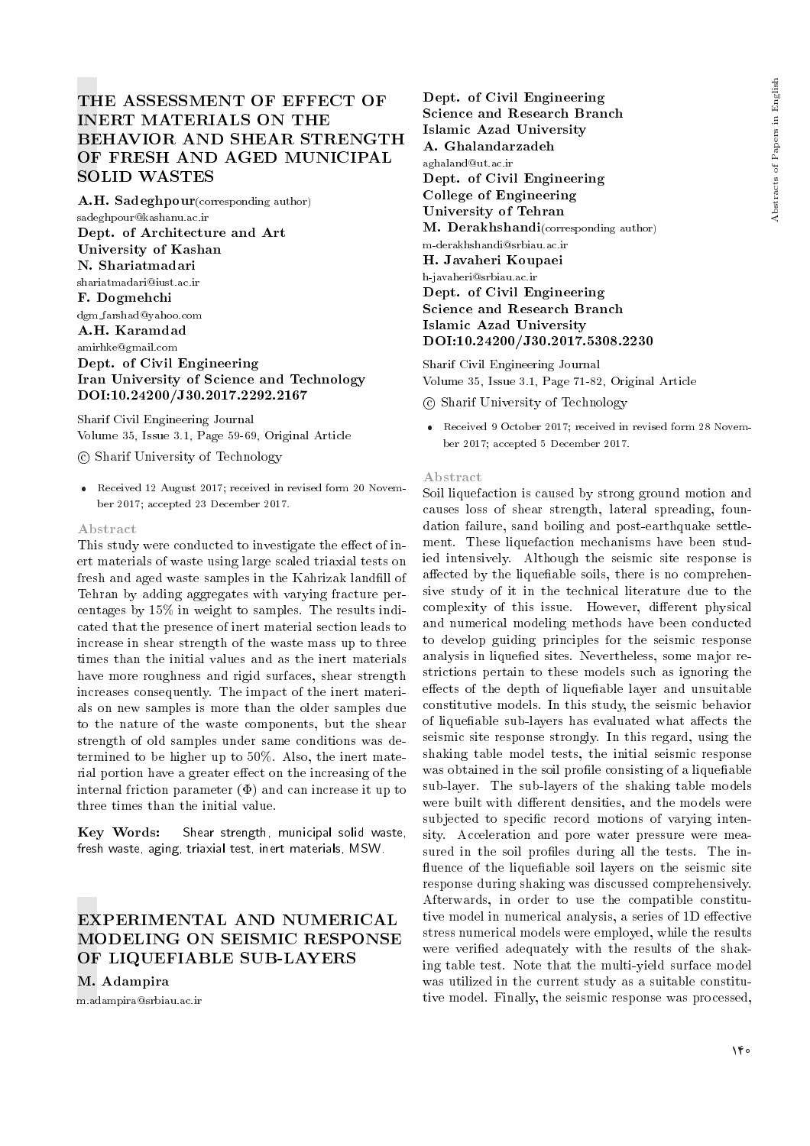# THE ASSESSMENT OF EFFECT OF INERT MATERIALS ON THE BEHAVIOR AND SHEAR STRENGTH OF FRESH AND AGED MUNICIPAL SOLID WASTES

A.H. Sadeghpour(corresponding author) sadeghpour@kashanu.ac.ir Dept. of Architecture and Art University of Kashan N. Shariatmadari shariatmadari@iust.ac.ir F. Dogmehchi dgm farshad@yahoo.com A.H. Karamdad amirhke@gmail.com Dept. of Civil Engineering Iran University of Science and Technology DOI:10.24200/J30.2017.2292.2167

Sharif Civil Engineering Journal Volume 35, Issue 3.1, Page 59-69, Original Article

c Sharif University of Technology

 Received 12 August 2017; received in revised form 20 November 2017; accepted 23 December 2017.

#### Abstract

This study were conducted to investigate the effect of inert materials of waste using large scaled triaxial tests on fresh and aged waste samples in the Kahrizak landfill of Tehran by adding aggregates with varying fracture percentages by 15% in weight to samples. The results indicated that the presence of inert material section leads to increase in shear strength of the waste mass up to three times than the initial values and as the inert materials have more roughness and rigid surfaces, shear strength increases consequently. The impact of the inert materials on new samples is more than the older samples due to the nature of the waste components, but the shear strength of old samples under same conditions was determined to be higher up to 50%. Also, the inert material portion have a greater effect on the increasing of the internal friction parameter  $(\Phi)$  and can increase it up to three times than the initial value.

Key Words: Shear strength, municipal solid waste, fresh waste, aging, triaxial test, inert materials, MSW.

# EXPERIMENTAL AND NUMERICAL MODELING ON SEISMIC RESPONSE OF LIQUEFIABLE SUB-LAYERS

M. Adampira

m.adampira@srbiau.ac.ir

Dept. of Civil Engineering Science and Research Branch Islamic Azad University A. Ghalandarzadeh aghaland@ut.ac.ir Dept. of Civil Engineering College of Engineering University of Tehran M. Derakhshandi(corresponding author) m-derakhshandi@srbiau.ac.ir H. Javaheri Koupaei h-javaheri@srbiau.ac.ir Dept. of Civil Engineering Science and Research Branch Islamic Azad University DOI:10.24200/J30.2017.5308.2230

Sharif Civil Engineering Journal Volume 35, Issue 3.1, Page 71-82, Original Article

c Sharif University of Technology

 Received 9 October 2017; received in revised form 28 November 2017; accepted 5 December 2017.

#### Abstract

Soil liquefaction is caused by strong ground motion and causes loss of shear strength, lateral spreading, foundation failure, sand boiling and post-earthquake settlement. These liquefaction mechanisms have been studied intensively. Although the seismic site response is affected by the liquefiable soils, there is no comprehensive study of it in the technical literature due to the complexity of this issue. However, different physical and numerical modeling methods have been conducted to develop guiding principles for the seismic response analysis in liquefied sites. Nevertheless, some major restrictions pertain to these models such as ignoring the effects of the depth of liquefiable layer and unsuitable constitutive models. In this study, the seismic behavior of liquefiable sub-layers has evaluated what affects the seismic site response strongly. In this regard, using the shaking table model tests, the initial seismic response was obtained in the soil profile consisting of a liquefiable sub-layer. The sub-layers of the shaking table models were built with different densities, and the models were subjected to specific record motions of varying intensity. Acceleration and pore water pressure were measured in the soil profiles during all the tests. The influence of the liquefiable soil layers on the seismic site response during shaking was discussed comprehensively. Afterwards, in order to use the compatible constitutive model in numerical analysis, a series of 1D effective stress numerical models were employed, while the results were veried adequately with the results of the shaking table test. Note that the multi-yield surface model was utilized in the current study as a suitable constitutive model. Finally, the seismic response was processed,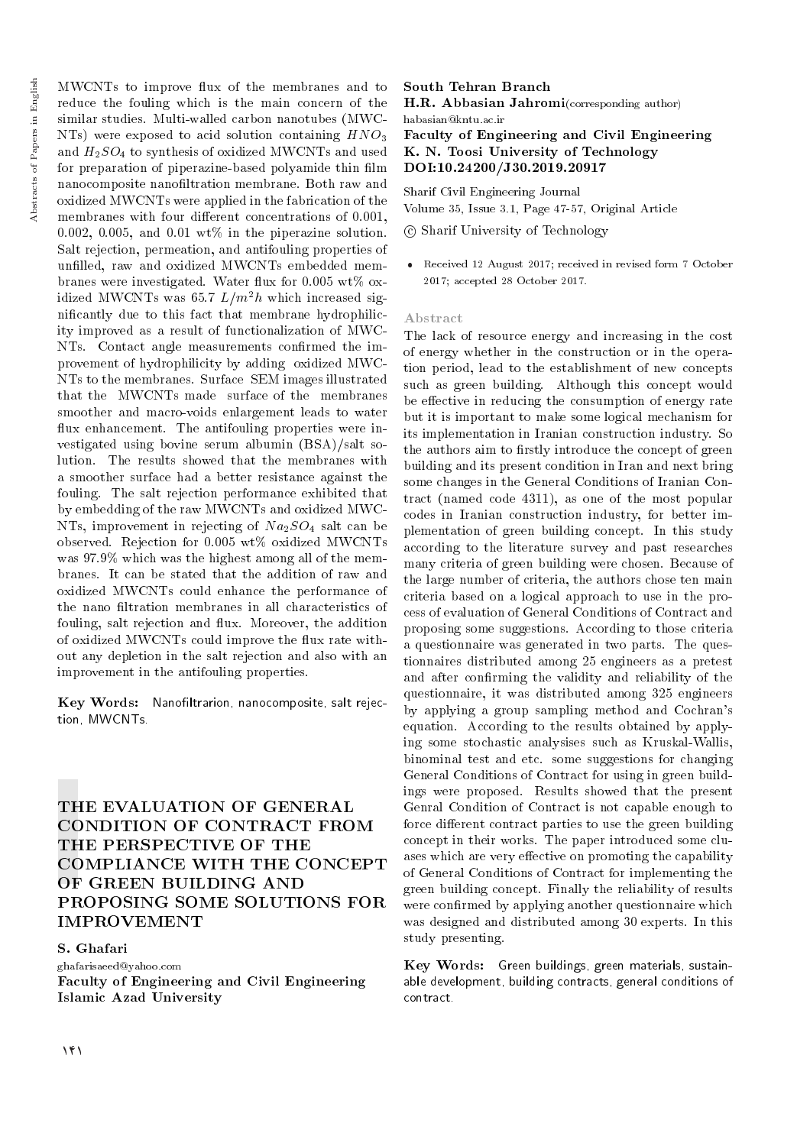MWCNTs to improve flux of the membranes and to reduce the fouling which is the main concern of the similar studies. Multi-walled carbon nanotubes (MWC-NTs) were exposed to acid solution containing  $HNO<sub>3</sub>$ and  $H_2SO_4$  to synthesis of oxidized MWCNTs and used for preparation of piperazine-based polyamide thin film nanocomposite nanofiltration membrane. Both raw and oxidized MWCNTs were applied in the fabrication of the membranes with four different concentrations of 0.001, 0.002, 0.005, and 0.01  $wt\%$  in the piperazine solution. Salt rejection, permeation, and antifouling properties of unfilled, raw and oxidized MWCNTs embedded membranes were investigated. Water flux for 0.005 wt% oxidized MWCNTs was 65.7  $L/m^2h$  which increased signicantly due to this fact that membrane hydrophilicity improved as a result of functionalization of MWC-NTs. Contact angle measurements confirmed the improvement of hydrophilicity by adding oxidized MWC-NTs to the membranes. Surface SEM images illustrated that the MWCNTs made surface of the membranes smoother and macro-voids enlargement leads to water flux enhancement. The antifouling properties were investigated using bovine serum albumin (BSA)/salt solution. The results showed that the membranes with a smoother surface had a better resistance against the fouling. The salt rejection performance exhibited that by embedding of the raw MWCNTs and oxidized MWC-NTs, improvement in rejecting of  $Na<sub>2</sub>SO<sub>4</sub>$  salt can be observed. Rejection for 0.005 wt% oxidized MWCNTs was 97.9% which was the highest among all of the membranes. It can be stated that the addition of raw and oxidized MWCNTs could enhance the performance of the nano filtration membranes in all characteristics of fouling, salt rejection and flux. Moreover, the addition of oxidized MWCNTs could improve the flux rate without any depletion in the salt rejection and also with an improvement in the antifouling properties.

Key Words: Nanofiltrarion, nanocomposite, salt rejection, MWCNTs.

THE EVALUATION OF GENERAL CONDITION OF CONTRACT FROM THE PERSPECTIVE OF THE COMPLIANCE WITH THE CONCEPT OF GREEN BUILDING AND PROPOSING SOME SOLUTIONS FOR IMPROVEMENT

### S. Ghafari

ghafarisaeed@yahoo.com Faculty of Engineering and Civil Engineering Islamic Azad University

South Tehran Branch H.R. Abbasian Jahromi(corresponding author) habasian@kntu.ac.ir Faculty of Engineering and Civil Engineering K. N. Toosi University of Technology DOI:10.24200/J30.2019.20917

Sharif Civil Engineering Journal

Volume 35, Issue 3.1, Page 47-57, Original Article

c Sharif University of Technology

 Received 12 August 2017; received in revised form 7 October 2017; accepted 28 October 2017.

#### Abstract

The lack of resource energy and increasing in the cost of energy whether in the construction or in the operation period, lead to the establishment of new concepts such as green building. Although this concept would be effective in reducing the consumption of energy rate but it is important to make some logical mechanism for its implementation in Iranian construction industry. So the authors aim to firstly introduce the concept of green building and its present condition in Iran and next bring some changes in the General Conditions of Iranian Contract (named code 4311), as one of the most popular codes in Iranian construction industry, for better implementation of green building concept. In this study according to the literature survey and past researches many criteria of green building were chosen. Because of the large number of criteria, the authors chose ten main criteria based on a logical approach to use in the process of evaluation of General Conditions of Contract and proposing some suggestions. According to those criteria a questionnaire was generated in two parts. The questionnaires distributed among 25 engineers as a pretest and after confirming the validity and reliability of the questionnaire, it was distributed among 325 engineers by applying a group sampling method and Cochran's equation. According to the results obtained by applying some stochastic analysises such as Kruskal-Wallis, binominal test and etc. some suggestions for changing General Conditions of Contract for using in green buildings were proposed. Results showed that the present Genral Condition of Contract is not capable enough to force different contract parties to use the green building concept in their works. The paper introduced some cluases which are very effective on promoting the capability of General Conditions of Contract for implementing the green building concept. Finally the reliability of results were confirmed by applying another questionnaire which was designed and distributed among 30 experts. In this study presenting.

Key Words: Green buildings, green materials, sustainable development, building contracts, general conditions of contract.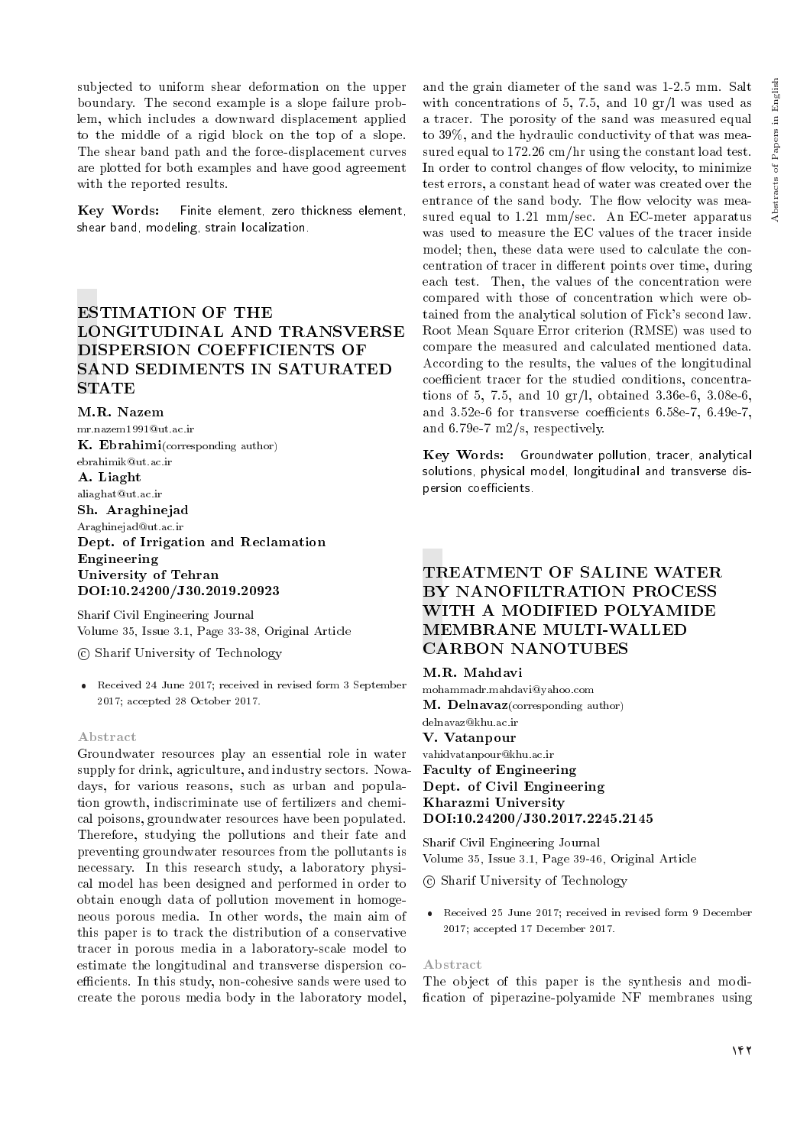subjected to uniform shear deformation on the upper boundary. The second example is a slope failure problem, which includes a downward displacement applied to the middle of a rigid block on the top of a slope. The shear band path and the force-displacement curves are plotted for both examples and have good agreement with the reported results.

Key Words: Finite element, zero thickness element, shear band, modeling, strain localization.

# ESTIMATION OF THE LONGITUDINAL AND TRANSVERSE DISPERSION COEFFICIENTS OF SAND SEDIMENTS IN SATURATED **STATE**

M.R. Nazem mr.nazem1991@ut.ac.ir K. Ebrahimi(corresponding author) ebrahimik@ut.ac.ir A. Liaght aliaghat@ut.ac.ir Sh. Araghinejad Araghinejad@ut.ac.ir Dept. of Irrigation and Reclamation Engineering University of Tehran DOI:10.24200/J30.2019.20923

Sharif Civil Engineering Journal Volume 35, Issue 3.1, Page 33-38, Original Article

c Sharif University of Technology

 Received 24 June 2017; received in revised form 3 September 2017; accepted 28 October 2017.

#### Abstract

Groundwater resources play an essential role in water supply for drink, agriculture, and industry sectors. Nowadays, for various reasons, such as urban and population growth, indiscriminate use of fertilizers and chemical poisons, groundwater resources have been populated. Therefore, studying the pollutions and their fate and preventing groundwater resources from the pollutants is necessary. In this research study, a laboratory physical model has been designed and performed in order to obtain enough data of pollution movement in homogeneous porous media. In other words, the main aim of this paper is to track the distribution of a conservative tracer in porous media in a laboratory-scale model to estimate the longitudinal and transverse dispersion coefficients. In this study, non-cohesive sands were used to create the porous media body in the laboratory model,

and the grain diameter of the sand was 1-2.5 mm. Salt with concentrations of 5, 7.5, and 10 gr/l was used as a tracer. The porosity of the sand was measured equal to 39%, and the hydraulic conductivity of that was measured equal to 172.26 cm/hr using the constant load test. In order to control changes of flow velocity, to minimize test errors, a constant head of water was created over the entrance of the sand body. The flow velocity was measured equal to 1.21 mm/sec. An EC-meter apparatus was used to measure the EC values of the tracer inside model; then, these data were used to calculate the concentration of tracer in different points over time, during each test. Then, the values of the concentration were compared with those of concentration which were obtained from the analytical solution of Fick's second law. Root Mean Square Error criterion (RMSE) was used to compare the measured and calculated mentioned data. According to the results, the values of the longitudinal coefficient tracer for the studied conditions, concentrations of 5, 7.5, and 10 gr/l, obtained 3.36e-6, 3.08e-6, and  $3.52e-6$  for transverse coefficients  $6.58e-7$ ,  $6.49e-7$ , and 6.79e-7 m2/s, respectively.

Key Words: Groundwater pollution, tracer, analytical solutions, physical model, longitudinal and transverse dispersion coefficients.

# TREATMENT OF SALINE WATER BY NANOFILTRATION PROCESS WITH A MODIFIED POLYAMIDE MEMBRANE MULTI-WALLED CARBON NANOTUBES

#### M.R. Mahdavi

mohammadr.mahdavi@yahoo.com M. Delnavaz(corresponding author) delnavaz@khu.ac.ir

#### V. Vatanpour

vahidvatanpour@khu.ac.ir Faculty of Engineering Dept. of Civil Engineering Kharazmi University DOI:10.24200/J30.2017.2245.2145

Sharif Civil Engineering Journal Volume 35, Issue 3.1, Page 39-46, Original Article

c Sharif University of Technology

 Received 25 June 2017; received in revised form 9 December 2017; accepted 17 December 2017.

#### Abstract

The object of this paper is the synthesis and modi fication of piperazine-polyamide NF membranes using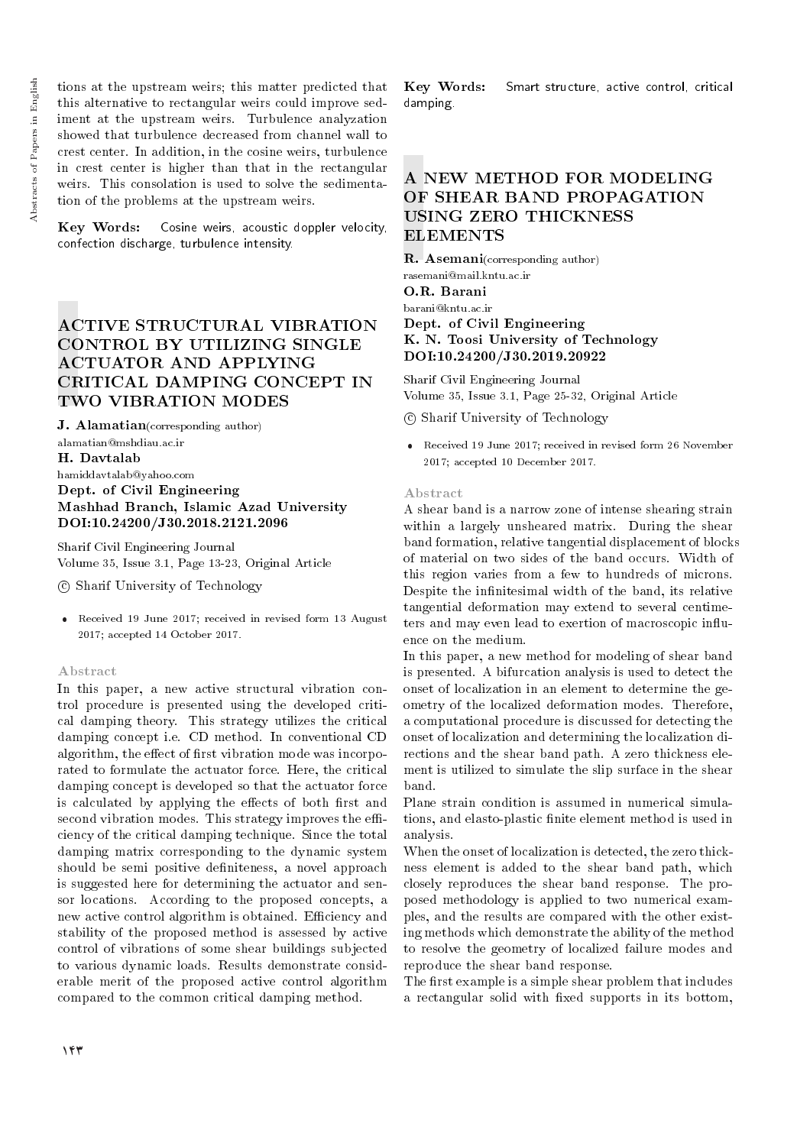tions at the upstream weirs; this matter predicted that this alternative to rectangular weirs could improve sediment at the upstream weirs. Turbulence analyzation showed that turbulence decreased from channel wall to crest center. In addition, in the cosine weirs, turbulence in crest center is higher than that in the rectangular weirs. This consolation is used to solve the sedimentation of the problems at the upstream weirs.

Key Words: Cosine weirs, acoustic doppler velocity, confection discharge, turbulence intensity.

# ACTIVE STRUCTURAL VIBRATION CONTROL BY UTILIZING SINGLE ACTUATOR AND APPLYING CRITICAL DAMPING CONCEPT IN TWO VIBRATION MODES

J. Alamatian(corresponding author)

alamatian@mshdiau.ac.ir H. Davtalab hamiddavtalab@yahoo.com Dept. of Civil Engineering Mashhad Branch, Islamic Azad University DOI:10.24200/J30.2018.2121.2096

Sharif Civil Engineering Journal Volume 35, Issue 3.1, Page 13-23, Original Article

c Sharif University of Technology

 Received 19 June 2017; received in revised form 13 August 2017; accepted 14 October 2017.

## Abstract

In this paper, a new active structural vibration control procedure is presented using the developed critical damping theory. This strategy utilizes the critical damping concept i.e. CD method. In conventional CD algorithm, the effect of first vibration mode was incorporated to formulate the actuator force. Here, the critical damping concept is developed so that the actuator force is calculated by applying the effects of both first and second vibration modes. This strategy improves the efficiency of the critical damping technique. Since the total damping matrix corresponding to the dynamic system should be semi positive definiteness, a novel approach is suggested here for determining the actuator and sensor locations. According to the proposed concepts, a new active control algorithm is obtained. Efficiency and stability of the proposed method is assessed by active control of vibrations of some shear buildings subjected to various dynamic loads. Results demonstrate considerable merit of the proposed active control algorithm compared to the common critical damping method.

Key Words: Smart structure, active control, critical damping.

# A NEW METHOD FOR MODELING OF SHEAR BAND PROPAGATION USING ZERO THICKNESS ELEMENTS

R. Asemani(corresponding author) rasemani@mail.kntu.ac.ir

O.R. Barani barani@kntu.ac.ir Dept. of Civil Engineering K. N. Toosi University of Technology DOI:10.24200/J30.2019.20922

Sharif Civil Engineering Journal Volume 35, Issue 3.1, Page 25-32, Original Article

c Sharif University of Technology

 Received 19 June 2017; received in revised form 26 November 2017; accepted 10 December 2017.

#### Abstract

A shear band is a narrow zone of intense shearing strain within a largely unsheared matrix. During the shear band formation, relative tangential displacement of blocks of material on two sides of the band occurs. Width of this region varies from a few to hundreds of microns. Despite the infinitesimal width of the band, its relative tangential deformation may extend to several centimeters and may even lead to exertion of macroscopic influence on the medium.

In this paper, a new method for modeling of shear band is presented. A bifurcation analysis is used to detect the onset of localization in an element to determine the geometry of the localized deformation modes. Therefore, a computational procedure is discussed for detecting the onset of localization and determining the localization directions and the shear band path. A zero thickness element is utilized to simulate the slip surface in the shear band.

Plane strain condition is assumed in numerical simulations, and elasto-plastic finite element method is used in analysis.

When the onset of localization is detected, the zero thickness element is added to the shear band path, which closely reproduces the shear band response. The proposed methodology is applied to two numerical examples, and the results are compared with the other existing methods which demonstrate the ability of the method to resolve the geometry of localized failure modes and reproduce the shear band response.

The first example is a simple shear problem that includes a rectangular solid with fixed supports in its bottom.